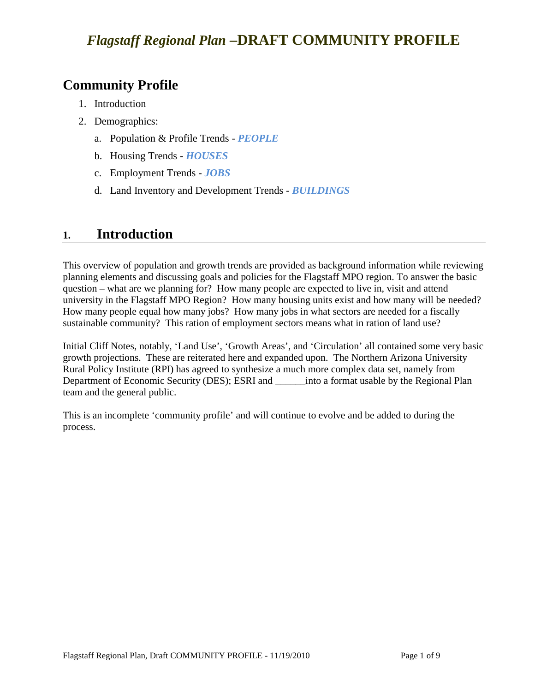### **Community Profile**

- 1. Introduction
- 2. Demographics:
	- a. Population & Profile Trends *PEOPLE*
	- b. Housing Trends *HOUSES*
	- c. Employment Trends *JOBS*
	- d. Land Inventory and Development Trends *BUILDINGS*

### **1. Introduction**

This overview of population and growth trends are provided as background information while reviewing planning elements and discussing goals and policies for the Flagstaff MPO region. To answer the basic question – what are we planning for? How many people are expected to live in, visit and attend university in the Flagstaff MPO Region? How many housing units exist and how many will be needed? How many people equal how many jobs? How many jobs in what sectors are needed for a fiscally sustainable community? This ration of employment sectors means what in ration of land use?

Initial Cliff Notes, notably, 'Land Use', 'Growth Areas', and 'Circulation' all contained some very basic growth projections. These are reiterated here and expanded upon. The Northern Arizona University Rural Policy Institute (RPI) has agreed to synthesize a much more complex data set, namely from Department of Economic Security (DES); ESRI and \_\_\_\_\_\_into a format usable by the Regional Plan team and the general public.

This is an incomplete 'community profile' and will continue to evolve and be added to during the process.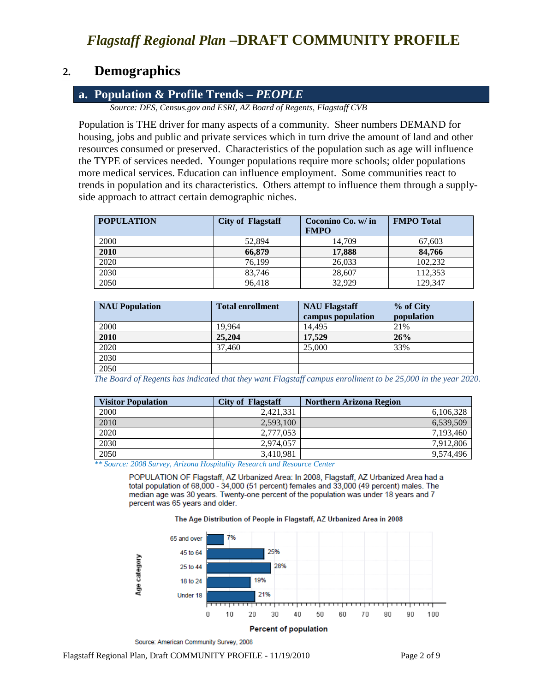### **2. Demographics**

#### **a. Population & Profile Trends –** *PEOPLE*

*Source: DES, Census.gov and ESRI, AZ Board of Regents, Flagstaff CVB*

Population is THE driver for many aspects of a community. Sheer numbers DEMAND for housing, jobs and public and private services which in turn drive the amount of land and other resources consumed or preserved. Characteristics of the population such as age will influence the TYPE of services needed. Younger populations require more schools; older populations more medical services. Education can influence employment. Some communities react to trends in population and its characteristics. Others attempt to influence them through a supplyside approach to attract certain demographic niches.

| <b>POPULATION</b> | <b>City of Flagstaff</b> | Coconino Co. w/ in<br><b>FMPO</b> | <b>FMPO</b> Total |
|-------------------|--------------------------|-----------------------------------|-------------------|
| 2000              | 52,894                   | 14.709                            | 67,603            |
| 2010              | 66,879                   | 17.888                            | 84,766            |
| 2020              | 76.199                   | 26,033                            | 102.232           |
| 2030              | 83,746                   | 28,607                            | 112,353           |
| 2050              | 96.418                   | 32.929                            | 129,347           |

| <b>NAU Population</b> | <b>Total enrollment</b> | <b>NAU Flagstaff</b><br>campus population | % of City<br>population |
|-----------------------|-------------------------|-------------------------------------------|-------------------------|
| 2000                  | 19,964                  | 14.495                                    | 21%                     |
| 2010                  | 25,204                  | 17.529                                    | 26%                     |
| 2020                  | 37,460                  | 25,000                                    | 33%                     |
| 2030                  |                         |                                           |                         |
| 2050                  |                         |                                           |                         |

*The Board of Regents has indicated that they want Flagstaff campus enrollment to be 25,000 in the year 2020.*

| <b>Visitor Population</b> | <b>City of Flagstaff</b> | <b>Northern Arizona Region</b> |
|---------------------------|--------------------------|--------------------------------|
| 2000                      | 2.421.331                | 6,106,328                      |
| 2010                      | 2,593,100                | 6,539,509                      |
| 2020                      | 2,777,053                | 7,193,460                      |
| 2030                      | 2.974.057                | 7.912.806                      |
| 2050                      | 3.410.981                | 9.574.496                      |

*\*\* Source: 2008 Survey, Arizona Hospitality Research and Resource Center*

POPULATION OF Flagstaff, AZ Urbanized Area: In 2008, Flagstaff, AZ Urbanized Area had a total population of 68,000 - 34,000 (51 percent) females and 33,000 (49 percent) males. The median age was 30 years. Twenty-one percent of the population was under 18 years and 7 percent was 65 years and older.





Source: American Community Survey, 2008

Flagstaff Regional Plan, Draft COMMUNITY PROFILE - 11/19/2010 Page 2 of 9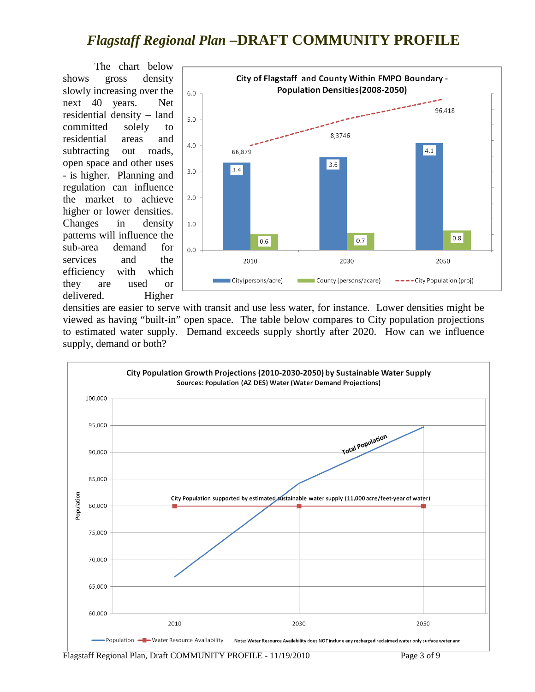The chart below shows gross density slowly increasing over the next 40 years. Net residential density – land committed solely to residential areas and subtracting out roads, open space and other uses - is higher. Planning and regulation can influence the market to achieve higher or lower densities. Changes in density patterns will influence the sub-area demand for services and the efficiency with which they are used or delivered. Higher



densities are easier to serve with transit and use less water, for instance. Lower densities might be viewed as having "built-in" open space. The table below compares to City population projections to estimated water supply. Demand exceeds supply shortly after 2020. How can we influence supply, demand or both?



Flagstaff Regional Plan, Draft COMMUNITY PROFILE - 11/19/2010 Page 3 of 9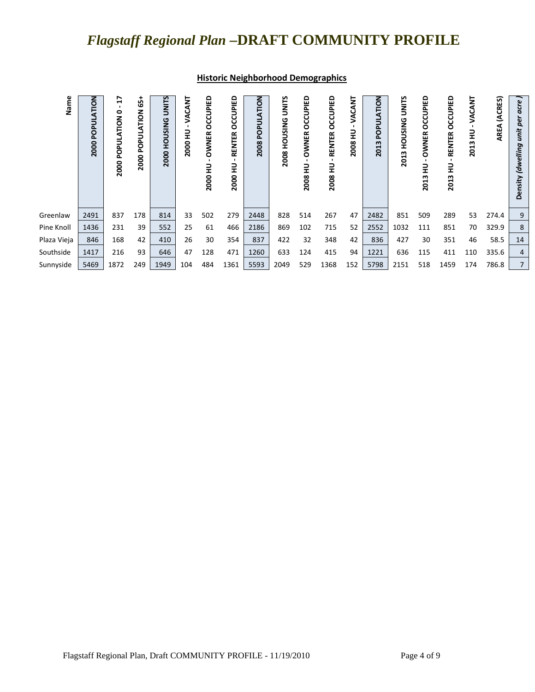| Name                      | <b>NOLT</b><br>POPUL<br>2000<br>2491<br>1436 | F<br>$\bullet$<br>2000 POPULATION<br>837<br>231 | 55<br>z<br><b>ATIO</b><br>ā<br>௨<br>2000<br>178<br>39 | <b>UNITS</b><br><b>HOUSING</b><br>2000<br>814<br>552 | VACANT<br>2000 HU<br>33<br>25 | OCCUPIED<br><b>OWNER</b><br>긒<br>2000<br>502<br>61 | OCCUPIED<br>RENTER<br>긒<br>2000<br>279<br>466 | <b>NOILY</b><br>ᆳ<br><b>PO</b><br>2008<br>2448<br>2186 | UNITS<br>2008 HOUSING<br>828<br>869 | OCCUPIED<br><b>OWNER</b><br>2008 HU<br>514<br>102 | OCCUPIED<br><b>RENTER</b><br>로<br>2008<br>267<br>715 | <b>CANT</b><br>Š<br>긒<br>2008<br>47<br>52 | <b>NOITA</b><br>틼<br><u>5</u><br>$\omega$<br>201<br>2482<br>2552 | <b>UNITS</b><br><b>HOUSING</b><br>2013<br>851<br>1032 | OCCUPIED<br><b>OWNER</b><br>긒<br>m<br>201<br>509<br>111 | OCCUPIED<br>RENTER<br>긒<br>2013<br>289<br>851 | VACANT<br>2013 HU<br>53<br>70 | (ACRES)<br><b>AREA</b><br>274.4<br>329.9 | acre<br>Û<br>Q<br>unit<br>(dwelling<br>nsity<br>Δ<br>9<br>8 |
|---------------------------|----------------------------------------------|-------------------------------------------------|-------------------------------------------------------|------------------------------------------------------|-------------------------------|----------------------------------------------------|-----------------------------------------------|--------------------------------------------------------|-------------------------------------|---------------------------------------------------|------------------------------------------------------|-------------------------------------------|------------------------------------------------------------------|-------------------------------------------------------|---------------------------------------------------------|-----------------------------------------------|-------------------------------|------------------------------------------|-------------------------------------------------------------|
| Pine Knoll<br>Plaza Vieja | 846                                          | 168                                             | 42                                                    | 410                                                  | 26                            | 30                                                 | 354                                           | 837                                                    | 422                                 | 32                                                | 348                                                  | 42                                        | 836                                                              | 427                                                   | 30                                                      | 351                                           | 46                            | 58.5                                     | 14                                                          |
| Southside                 | 1417                                         | 216                                             | 93                                                    | 646                                                  | 47                            | 128                                                | 471                                           | 1260                                                   | 633                                 | 124                                               | 415                                                  | 94                                        | 1221                                                             | 636                                                   | 115                                                     | 411                                           | 110                           | 335.6                                    | $\overline{4}$                                              |
| Sunnyside                 | 5469                                         | 1872                                            | 249                                                   | 1949                                                 | 104                           | 484                                                | 1361                                          | 5593                                                   | 2049                                | 529                                               | 1368                                                 | 152                                       | 5798                                                             | 2151                                                  | 518                                                     | 1459                                          | 174                           | 786.8                                    |                                                             |

#### **Historic Neighborhood Demographics**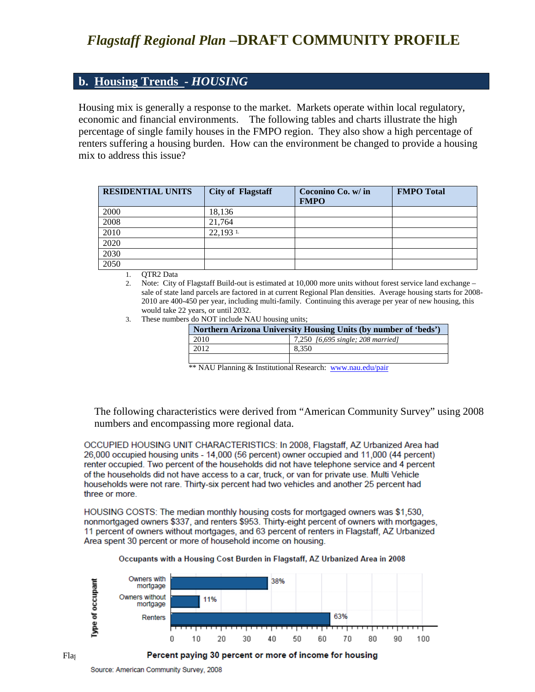#### **b. Housing Trends -** *HOUSING*

Housing mix is generally a response to the market. Markets operate within local regulatory, economic and financial environments. The following tables and charts illustrate the high percentage of single family houses in the FMPO region. They also show a high percentage of renters suffering a housing burden. How can the environment be changed to provide a housing mix to address this issue?

| <b>RESIDENTIAL UNITS</b> | <b>City of Flagstaff</b> | Coconino Co. w/ in<br><b>FMPO</b> | <b>FMPO</b> Total |
|--------------------------|--------------------------|-----------------------------------|-------------------|
| 2000                     | 18,136                   |                                   |                   |
| 2008                     | 21.764                   |                                   |                   |
| 2010                     | $22,193$ 1.              |                                   |                   |
| 2020                     |                          |                                   |                   |
| 2030                     |                          |                                   |                   |
| 2050                     |                          |                                   |                   |

1. **OTR2 Data** 

2. Note: City of Flagstaff Build-out is estimated at 10,000 more units without forest service land exchange – sale of state land parcels are factored in at current Regional Plan densities. Average housing starts for 2008- 2010 are 400-450 per year, including multi-family. Continuing this average per year of new housing, this would take 22 years, or until 2032.

3. These numbers do NOT include NAU housing units;

| Northern Arizona University Housing Units (by number of 'beds') |                                   |  |  |  |  |  |
|-----------------------------------------------------------------|-----------------------------------|--|--|--|--|--|
| 2010                                                            | 7,250 [6,695 single; 208 married] |  |  |  |  |  |
| 2012                                                            | 8.350                             |  |  |  |  |  |
|                                                                 |                                   |  |  |  |  |  |

\*\* NAU Planning & Institutional Research: [www.nau.edu/pair](http://www.nau.edu/pair)

The following characteristics were derived from "American Community Survey" using 2008 numbers and encompassing more regional data.

OCCUPIED HOUSING UNIT CHARACTERISTICS: In 2008, Flagstaff, AZ Urbanized Area had 26,000 occupied housing units - 14,000 (56 percent) owner occupied and 11,000 (44 percent) renter occupied. Two percent of the households did not have telephone service and 4 percent of the households did not have access to a car, truck, or van for private use. Multi Vehicle households were not rare. Thirty-six percent had two vehicles and another 25 percent had three or more.

HOUSING COSTS: The median monthly housing costs for mortgaged owners was \$1,530. nonmortgaged owners \$337, and renters \$953. Thirty-eight percent of owners with mortgages. 11 percent of owners without mortgages, and 63 percent of renters in Flagstaff, AZ Urbanized Area spent 30 percent or more of household income on housing.



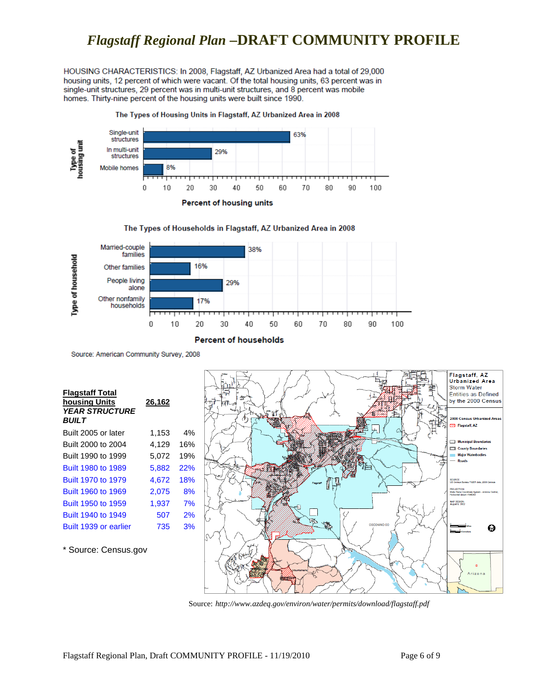HOUSING CHARACTERISTICS: In 2008, Flagstaff, AZ Urbanized Area had a total of 29,000 housing units, 12 percent of which were vacant. Of the total housing units, 63 percent was in single-unit structures, 29 percent was in multi-unit structures, and 8 percent was mobile homes. Thirty-nine percent of the housing units were built since 1990.

#### The Types of Housing Units in Flagstaff, AZ Urbanized Area in 2008









Source: American Community Survey, 2008

| <b>Flagstaff Total</b><br>housing Units<br><b>YEAR STRUCTURE</b><br><b>BUILT</b> | 26,162 |     |
|----------------------------------------------------------------------------------|--------|-----|
| Built 2005 or later                                                              | 1,153  | 4%  |
| Built 2000 to 2004                                                               | 4.129  | 16% |
| Built 1990 to 1999                                                               | 5,072  | 19% |
| Built 1980 to 1989                                                               | 5.882  | 22% |
| Built 1970 to 1979                                                               | 4.672  | 18% |
| Built 1960 to 1969                                                               | 2,075  | 8%  |
| Built 1950 to 1959                                                               | 1,937  | 7%  |
| Built 1940 to 1949                                                               | 507    | 2%  |
| Built 1939 or earlier                                                            | 735    | 3%  |
|                                                                                  |        |     |

\* Source: Census.gov



Source: *http://www.azdeq.gov/environ/water/permits/download/flagstaff.pdf*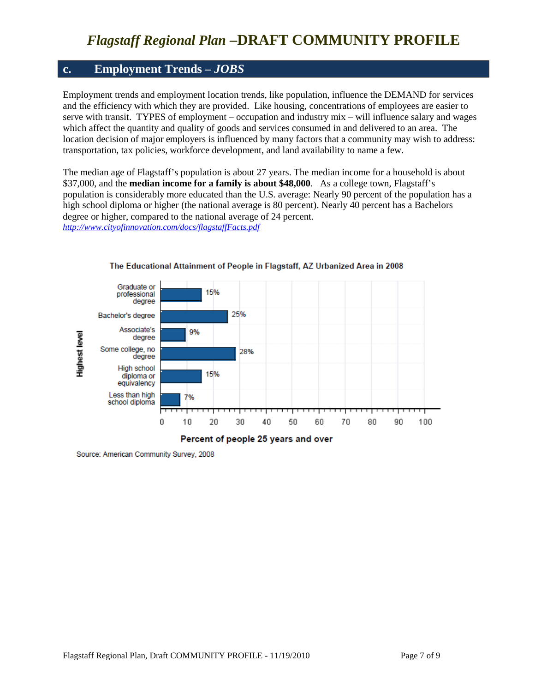#### **c. Employment Trends –** *JOBS*

Employment trends and employment location trends, like population, influence the DEMAND for services and the efficiency with which they are provided. Like housing, concentrations of employees are easier to serve with transit. TYPES of employment – occupation and industry mix – will influence salary and wages which affect the quantity and quality of goods and services consumed in and delivered to an area. The location decision of major employers is influenced by many factors that a community may wish to address: transportation, tax policies, workforce development, and land availability to name a few.

The median age of Flagstaff's population is about 27 years. The median income for a household is about \$37,000, and the **median income for a family is about \$48,000**. As a college town, Flagstaff's population is considerably more educated than the U.S. average: Nearly 90 percent of the population has a high school diploma or higher (the national average is 80 percent). Nearly 40 percent has a Bachelors degree or higher, compared to the national average of 24 percent. *<http://www.cityofinnovation.com/docs/flagstaffFacts.pdf>*



#### The Educational Attainment of People in Flagstaff, AZ Urbanized Area in 2008

Source: American Community Survey, 2008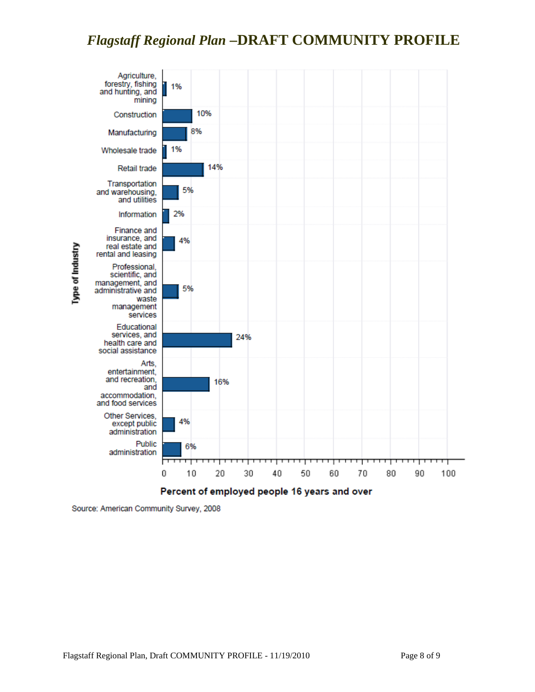

Source: American Community Survey, 2008